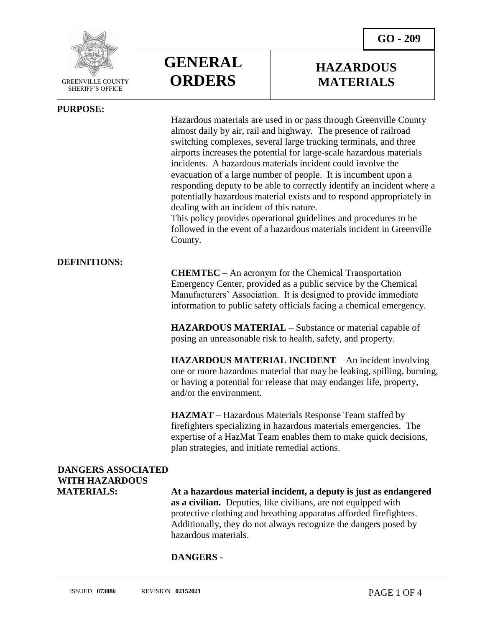

SHERIFF'S OFFICE

#### **PURPOSE:**

 $\overline{a}$ 



### **HAZARDOUS MATERIALS**

Hazardous materials are used in or pass through Greenville County almost daily by air, rail and highway. The presence of railroad switching complexes, several large trucking terminals, and three airports increases the potential for large-scale hazardous materials incidents. A hazardous materials incident could involve the evacuation of a large number of people. It is incumbent upon a responding deputy to be able to correctly identify an incident where a potentially hazardous material exists and to respond appropriately in dealing with an incident of this nature.

This policy provides operational guidelines and procedures to be followed in the event of a hazardous materials incident in Greenville County.

#### **DEFINITIONS:**

**CHEMTEC** – An acronym for the Chemical Transportation Emergency Center, provided as a public service by the Chemical Manufacturers' Association. It is designed to provide immediate information to public safety officials facing a chemical emergency.

**HAZARDOUS MATERIAL** – Substance or material capable of posing an unreasonable risk to health, safety, and property.

**HAZARDOUS MATERIAL INCIDENT** – An incident involving one or more hazardous material that may be leaking, spilling, burning, or having a potential for release that may endanger life, property, and/or the environment.

**HAZMAT** – Hazardous Materials Response Team staffed by firefighters specializing in hazardous materials emergencies. The expertise of a HazMat Team enables them to make quick decisions, plan strategies, and initiate remedial actions.

## **DANGERS ASSOCIATED WITH HAZARDOUS**

**MATERIALS: At a hazardous material incident, a deputy is just as endangered as a civilian.** Deputies, like civilians, are not equipped with protective clothing and breathing apparatus afforded firefighters. Additionally, they do not always recognize the dangers posed by hazardous materials.

#### **DANGERS -**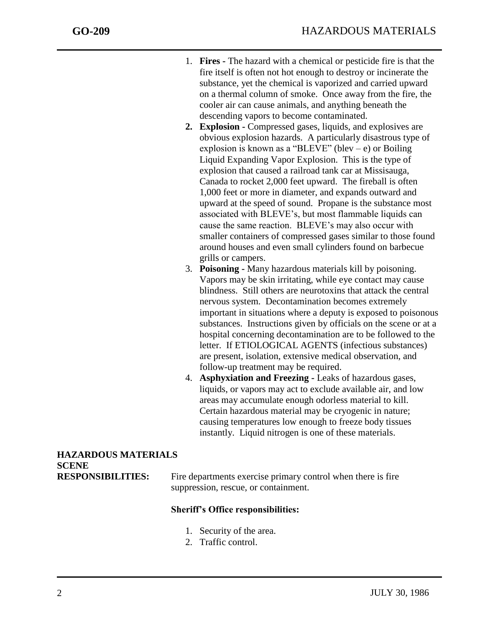j

- 1. **Fires -** The hazard with a chemical or pesticide fire is that the fire itself is often not hot enough to destroy or incinerate the substance, yet the chemical is vaporized and carried upward on a thermal column of smoke. Once away from the fire, the cooler air can cause animals, and anything beneath the descending vapors to become contaminated.
- **2. Explosion -** Compressed gases, liquids, and explosives are obvious explosion hazards. A particularly disastrous type of explosion is known as a "BLEVE" (blev – e) or Boiling Liquid Expanding Vapor Explosion. This is the type of explosion that caused a railroad tank car at Missisauga, Canada to rocket 2,000 feet upward. The fireball is often 1,000 feet or more in diameter, and expands outward and upward at the speed of sound. Propane is the substance most associated with BLEVE's, but most flammable liquids can cause the same reaction. BLEVE's may also occur with smaller containers of compressed gases similar to those found around houses and even small cylinders found on barbecue grills or campers.
- 3. **Poisoning -** Many hazardous materials kill by poisoning. Vapors may be skin irritating, while eye contact may cause blindness. Still others are neurotoxins that attack the central nervous system. Decontamination becomes extremely important in situations where a deputy is exposed to poisonous substances. Instructions given by officials on the scene or at a hospital concerning decontamination are to be followed to the letter. If ETIOLOGICAL AGENTS (infectious substances) are present, isolation, extensive medical observation, and follow-up treatment may be required.
- 4. **Asphyxiation and Freezing -** Leaks of hazardous gases, liquids, or vapors may act to exclude available air, and low areas may accumulate enough odorless material to kill. Certain hazardous material may be cryogenic in nature; causing temperatures low enough to freeze body tissues instantly. Liquid nitrogen is one of these materials.

# **HAZARDOUS MATERIALS SCENE**

**RESPONSIBILITIES:** Fire departments exercise primary control when there is fire suppression, rescue, or containment.

#### **Sheriff's Office responsibilities:**

- 1. Security of the area.
- 2. Traffic control.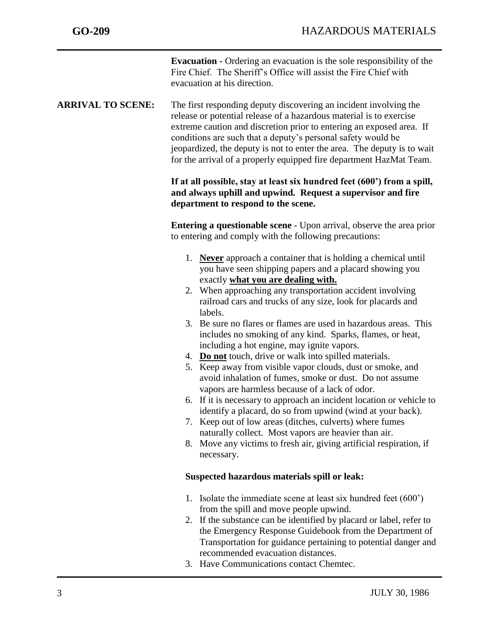|                          | <b>Evacuation -</b> Ordering an evacuation is the sole responsibility of the<br>Fire Chief. The Sheriff's Office will assist the Fire Chief with<br>evacuation at his direction.                                                                                                                                                                                                                                                                                                                                                                                                                                                                                                                                                                                                                                                                                                                                                                                                                                                                                          |
|--------------------------|---------------------------------------------------------------------------------------------------------------------------------------------------------------------------------------------------------------------------------------------------------------------------------------------------------------------------------------------------------------------------------------------------------------------------------------------------------------------------------------------------------------------------------------------------------------------------------------------------------------------------------------------------------------------------------------------------------------------------------------------------------------------------------------------------------------------------------------------------------------------------------------------------------------------------------------------------------------------------------------------------------------------------------------------------------------------------|
| <b>ARRIVAL TO SCENE:</b> | The first responding deputy discovering an incident involving the<br>release or potential release of a hazardous material is to exercise<br>extreme caution and discretion prior to entering an exposed area. If<br>conditions are such that a deputy's personal safety would be<br>jeopardized, the deputy is not to enter the area. The deputy is to wait<br>for the arrival of a properly equipped fire department HazMat Team.                                                                                                                                                                                                                                                                                                                                                                                                                                                                                                                                                                                                                                        |
|                          | If at all possible, stay at least six hundred feet (600') from a spill,<br>and always uphill and upwind. Request a supervisor and fire<br>department to respond to the scene.                                                                                                                                                                                                                                                                                                                                                                                                                                                                                                                                                                                                                                                                                                                                                                                                                                                                                             |
|                          | <b>Entering a questionable scene</b> - Upon arrival, observe the area prior<br>to entering and comply with the following precautions:                                                                                                                                                                                                                                                                                                                                                                                                                                                                                                                                                                                                                                                                                                                                                                                                                                                                                                                                     |
|                          | 1. Never approach a container that is holding a chemical until<br>you have seen shipping papers and a placard showing you<br>exactly what you are dealing with.<br>2. When approaching any transportation accident involving<br>railroad cars and trucks of any size, look for placards and<br>labels.<br>3. Be sure no flares or flames are used in hazardous areas. This<br>includes no smoking of any kind. Sparks, flames, or heat,<br>including a hot engine, may ignite vapors.<br>4. Do not touch, drive or walk into spilled materials.<br>5. Keep away from visible vapor clouds, dust or smoke, and<br>avoid inhalation of fumes, smoke or dust. Do not assume<br>vapors are harmless because of a lack of odor.<br>6. If it is necessary to approach an incident location or vehicle to<br>identify a placard, do so from upwind (wind at your back).<br>7. Keep out of low areas (ditches, culverts) where fumes<br>naturally collect. Most vapors are heavier than air.<br>8. Move any victims to fresh air, giving artificial respiration, if<br>necessary. |
|                          | Suspected hazardous materials spill or leak:                                                                                                                                                                                                                                                                                                                                                                                                                                                                                                                                                                                                                                                                                                                                                                                                                                                                                                                                                                                                                              |
|                          | 1. Isolate the immediate scene at least six hundred feet $(600)$<br>from the spill and move people upwind.<br>2. If the substance can be identified by placard or label, refer to<br>the Emergency Response Guidebook from the Department of<br>Transportation for guidance pertaining to potential danger and<br>recommended evacuation distances.<br>Have Communications contact Chamtee                                                                                                                                                                                                                                                                                                                                                                                                                                                                                                                                                                                                                                                                                |

3. Have Communications contact Chemtec.